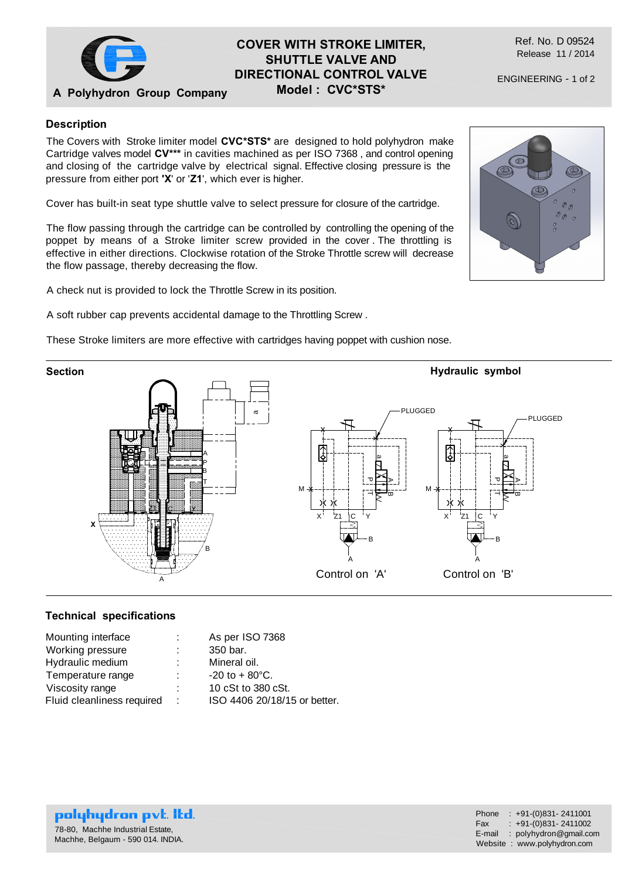

### **A Polyhydron Group Company COVER WITH STROKE LIMITER, SHUTTLE VALVE AND DIRECTIONAL CONTROL VALVE Model : CVC\*STS\***

Ref. No. D 09524 Release 11 / 2014

ENGINEERING - 1 of 2

## **Description**

The Covers with Stroke limiter model **CVC\*STS\*** are designed to hold polyhydron make Cartridge valves model **CV\*\*\*** in cavities machined as per ISO 7368 , and control opening and closing of the cartridge valve by electrical signal. Effective closing pressure is the pressure from either port **'X**' or '**Z1**', which ever is higher.

Cover has built-in seat type shuttle valve to select pressure for closure of the cartridge.

The flow passing through the cartridge can be controlled by controlling the opening of the poppet by means of a Stroke limiter screw provided in the cover . The throttling is effective in either directions. Clockwise rotation of the Stroke Throttle screw will decrease the flow passage, thereby decreasing the flow.

A check nut is provided to lock the Throttle Screw in its position.

A soft rubber cap prevents accidental damage to the Throttling Screw .

These Stroke limiters are more effective with cartridges having poppet with cushion nose.



# **Technical specifications**

| Mounting interface<br>Working pressure<br>Hydraulic medium<br>Temperature range<br>Viscosity range<br>Fluid cleanliness required | ٠.<br>÷ | As per ISO 7368                                                                                             |
|----------------------------------------------------------------------------------------------------------------------------------|---------|-------------------------------------------------------------------------------------------------------------|
|                                                                                                                                  |         | 350 bar.<br>Mineral oil.<br>$-20$ to $+80^{\circ}$ C.<br>10 cSt to 380 cSt.<br>ISO 4406 20/18/15 or better. |



polyhydron pvt. Itd. 78-80, Machhe Industrial Estate, Machhe, Belgaum - 590 014. INDIA.

 $\mathcal{O}_{\mathcal{O}}$  $\mathcal{O}(\mathcal{O})$